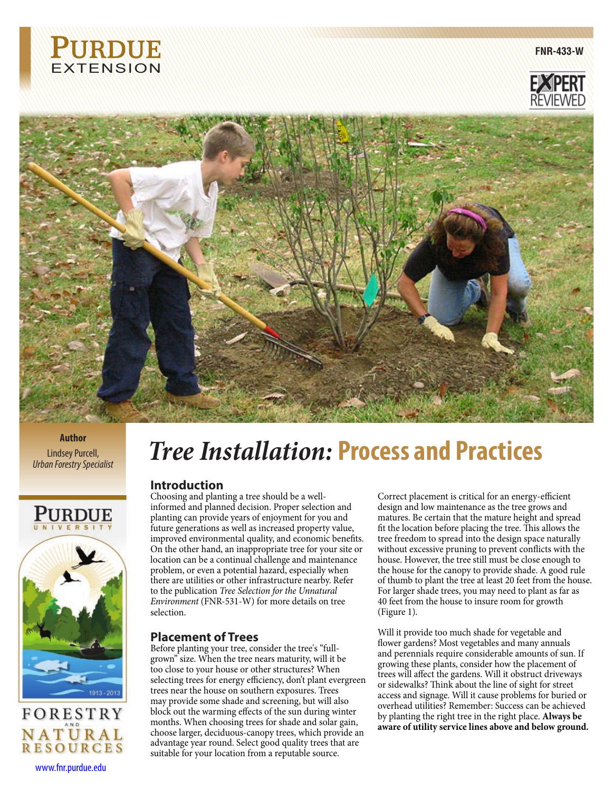

**FNR-433-W**





**Author** Lindsey Purcell, *Urban Forestry Specialist*





## www.fnr.purdue.edu

# *Tree Installation:* **Process and Practices**

## **Introduction**

Choosing and planting a tree should be a wellinformed and planned decision. Proper selection and planting can provide years of enjoyment for you and future generations as well as increased property value, improved environmental quality, and economic benefits. On the other hand, an inappropriate tree for your site or location can be a continual challenge and maintenance problem, or even a potential hazard, especially when there are utilities or other infrastructure nearby. Refer to the publication *Tree Selection for the Unnatural Environment* (FNR-531-W) for more details on tree selection.

## **Placement of Trees**

Before planting your tree, consider the tree's "fullgrown" size. When the tree nears maturity, will it be too close to your house or other structures? When selecting trees for energy efficiency, don't plant evergreen trees near the house on southern exposures. Trees may provide some shade and screening, but will also block out the warming effects of the sun during winter months. When choosing trees for shade and solar gain, choose larger, deciduous-canopy trees, which provide an advantage year round. Select good quality trees that are suitable for your location from a reputable source.

Correct placement is critical for an energy-efficient design and low maintenance as the tree grows and matures. Be certain that the mature height and spread fit the location before placing the tree. This allows the tree freedom to spread into the design space naturally without excessive pruning to prevent conflicts with the house. However, the tree still must be close enough to the house for the canopy to provide shade. A good rule of thumb to plant the tree at least 20 feet from the house. For larger shade trees, you may need to plant as far as 40 feet from the house to insure room for growth (Figure 1).

Will it provide too much shade for vegetable and flower gardens? Most vegetables and many annuals and perennials require considerable amounts of sun. If growing these plants, consider how the placement of trees will affect the gardens. Will it obstruct driveways or sidewalks? Think about the line of sight for street access and signage. Will it cause problems for buried or overhead utilities? Remember: Success can be achieved by planting the right tree in the right place. **Always be aware of utility service lines above and below ground.**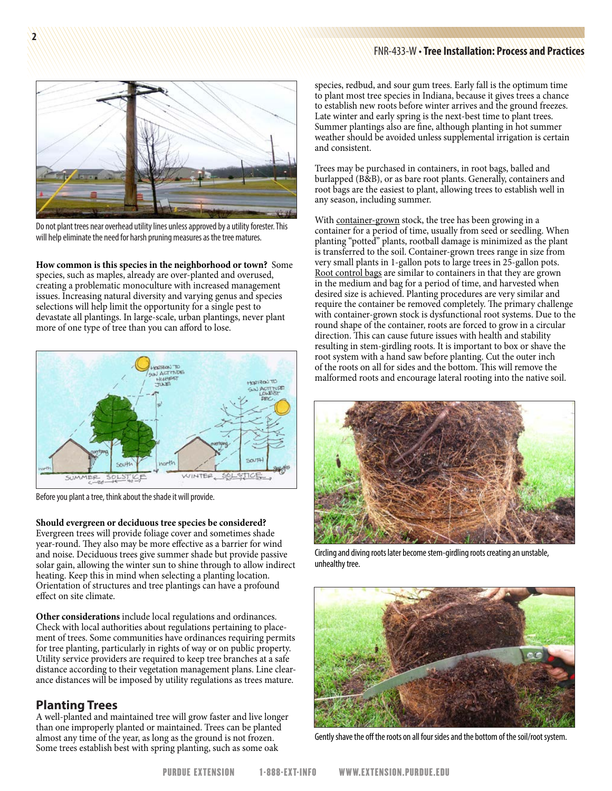#### FNR-433-W • **Tree Installation: Process and Practices**



**2**

Do not plant trees near overhead utility lines unless approved by a utility forester. This will help eliminate the need for harsh pruning measures as the tree matures.

**How common is this species in the neighborhood or town?** Some species, such as maples, already are over-planted and overused, creating a problematic monoculture with increased management issues. Increasing natural diversity and varying genus and species selections will help limit the opportunity for a single pest to devastate all plantings. In large-scale, urban plantings, never plant more of one type of tree than you can afford to lose.



Before you plant a tree, think about the shade it will provide.

**Should evergreen or deciduous tree species be considered?** Evergreen trees will provide foliage cover and sometimes shade year-round. They also may be more effective as a barrier for wind and noise. Deciduous trees give summer shade but provide passive solar gain, allowing the winter sun to shine through to allow indirect heating. Keep this in mind when selecting a planting location. Orientation of structures and tree plantings can have a profound effect on site climate.

**Other considerations** include local regulations and ordinances. Check with local authorities about regulations pertaining to placement of trees. Some communities have ordinances requiring permits for tree planting, particularly in rights of way or on public property. Utility service providers are required to keep tree branches at a safe distance according to their vegetation management plans. Line clearance distances will be imposed by utility regulations as trees mature.

## **Planting Trees**

A well-planted and maintained tree will grow faster and live longer than one improperly planted or maintained. Trees can be planted almost any time of the year, as long as the ground is not frozen. Some trees establish best with spring planting, such as some oak

species, redbud, and sour gum trees. Early fall is the optimum time to plant most tree species in Indiana, because it gives trees a chance to establish new roots before winter arrives and the ground freezes. Late winter and early spring is the next-best time to plant trees. Summer plantings also are fine, although planting in hot summer weather should be avoided unless supplemental irrigation is certain and consistent.

Trees may be purchased in containers, in root bags, balled and burlapped (B&B), or as bare root plants. Generally, containers and root bags are the easiest to plant, allowing trees to establish well in any season, including summer.

With container-grown stock, the tree has been growing in a container for a period of time, usually from seed or seedling. When planting "potted" plants, rootball damage is minimized as the plant is transferred to the soil. Container-grown trees range in size from very small plants in 1-gallon pots to large trees in 25-gallon pots. Root control bags are similar to containers in that they are grown in the medium and bag for a period of time, and harvested when desired size is achieved. Planting procedures are very similar and require the container be removed completely. The primary challenge with container-grown stock is dysfunctional root systems. Due to the round shape of the container, roots are forced to grow in a circular direction. This can cause future issues with health and stability resulting in stem-girdling roots. It is important to box or shave the root system with a hand saw before planting. Cut the outer inch of the roots on all for sides and the bottom. This will remove the malformed roots and encourage lateral rooting into the native soil.



Circling and diving roots later become stem-girdling roots creating an unstable, unhealthy tree.



Gently shave the off the roots on all four sides and the bottom of the soil/root system.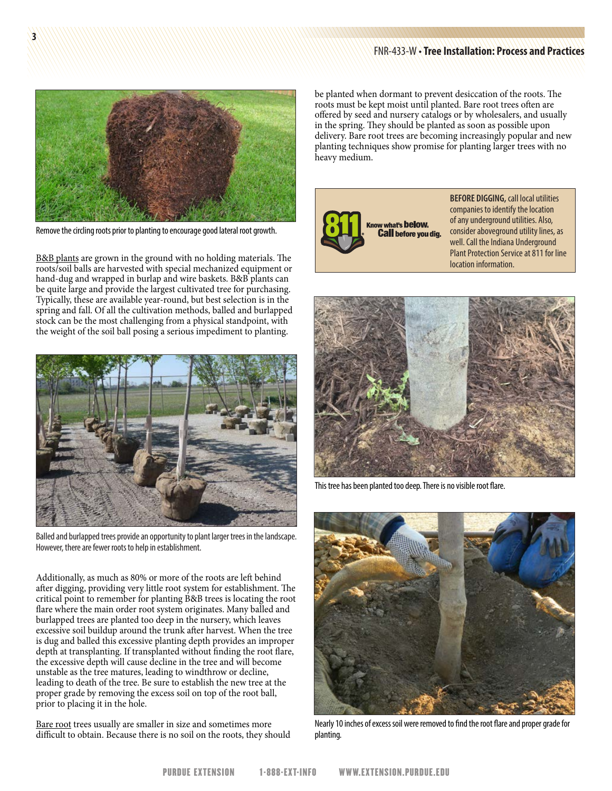#### FNR-433-W • **Tree Installation: Process and Practices**



Remove the circling roots prior to planting to encourage good lateral root growth.

B&B plants are grown in the ground with no holding materials. The roots/soil balls are harvested with special mechanized equipment or hand-dug and wrapped in burlap and wire baskets. B&B plants can be quite large and provide the largest cultivated tree for purchasing. Typically, these are available year-round, but best selection is in the spring and fall. Of all the cultivation methods, balled and burlapped stock can be the most challenging from a physical standpoint, with the weight of the soil ball posing a serious impediment to planting.



Balled and burlapped trees provide an opportunity to plant larger trees in the landscape. However, there are fewer roots to help in establishment.

Additionally, as much as 80% or more of the roots are left behind after digging, providing very little root system for establishment. The critical point to remember for planting B&B trees is locating the root flare where the main order root system originates. Many balled and burlapped trees are planted too deep in the nursery, which leaves excessive soil buildup around the trunk after harvest. When the tree is dug and balled this excessive planting depth provides an improper depth at transplanting. If transplanted without finding the root flare, the excessive depth will cause decline in the tree and will become unstable as the tree matures, leading to windthrow or decline, leading to death of the tree. Be sure to establish the new tree at the proper grade by removing the excess soil on top of the root ball, prior to placing it in the hole.

Bare root trees usually are smaller in size and sometimes more difficult to obtain. Because there is no soil on the roots, they should be planted when dormant to prevent desiccation of the roots. The roots must be kept moist until planted. Bare root trees often are offered by seed and nursery catalogs or by wholesalers, and usually in the spring. They should be planted as soon as possible upon delivery. Bare root trees are becoming increasingly popular and new planting techniques show promise for planting larger trees with no heavy medium.



**BEFORE DIGGING,** call local utilities companies to identify the location of any underground utilities. Also, consider aboveground utility lines, as well. Call the Indiana Underground Plant Protection Service at 811 for line location information.



This tree has been planted too deep. There is no visible root flare.



Nearly 10 inches of excess soil were removed to find the root flare and proper grade for planting.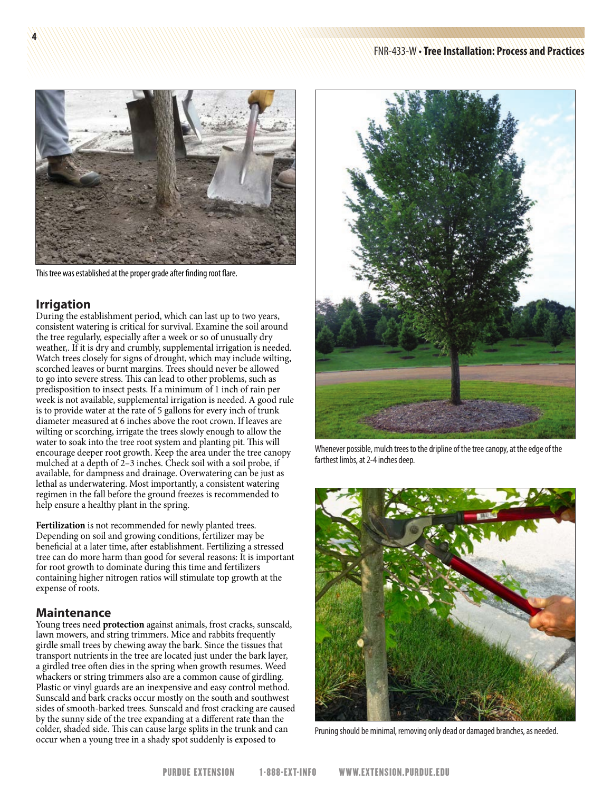

This tree was established at the proper grade after finding root flare.

## **Irrigation**

**4**

During the establishment period, which can last up to two years, consistent watering is critical for survival. Examine the soil around the tree regularly, especially after a week or so of unusually dry weather,. If it is dry and crumbly, supplemental irrigation is needed. Watch trees closely for signs of drought, which may include wilting, scorched leaves or burnt margins. Trees should never be allowed to go into severe stress. This can lead to other problems, such as predisposition to insect pests. If a minimum of 1 inch of rain per week is not available, supplemental irrigation is needed. A good rule is to provide water at the rate of 5 gallons for every inch of trunk diameter measured at 6 inches above the root crown. If leaves are wilting or scorching, irrigate the trees slowly enough to allow the water to soak into the tree root system and planting pit. This will encourage deeper root growth. Keep the area under the tree canopy mulched at a depth of 2–3 inches. Check soil with a soil probe, if available, for dampness and drainage. Overwatering can be just as lethal as underwatering. Most importantly, a consistent watering regimen in the fall before the ground freezes is recommended to help ensure a healthy plant in the spring.

**Fertilization** is not recommended for newly planted trees. Depending on soil and growing conditions, fertilizer may be beneficial at a later time, after establishment. Fertilizing a stressed tree can do more harm than good for several reasons: It is important for root growth to dominate during this time and fertilizers containing higher nitrogen ratios will stimulate top growth at the expense of roots.

## **Maintenance**

Young trees need **protection** against animals, frost cracks, sunscald, lawn mowers, and string trimmers. Mice and rabbits frequently girdle small trees by chewing away the bark. Since the tissues that transport nutrients in the tree are located just under the bark layer, a girdled tree often dies in the spring when growth resumes. Weed whackers or string trimmers also are a common cause of girdling. Plastic or vinyl guards are an inexpensive and easy control method. Sunscald and bark cracks occur mostly on the south and southwest sides of smooth-barked trees. Sunscald and frost cracking are caused by the sunny side of the tree expanding at a different rate than the colder, shaded side. This can cause large splits in the trunk and can colder, shaded side. This can cause large splits in the trunk and can pruning should be minimal, removing only dead or damaged branches, as needed.  $\overline{\text{occur}}$  when a young tree in a shady spot suddenly is exposed to



Whenever possible, mulch trees to the dripline of the tree canopy, at the edge of the farthest limbs, at 2-4 inches deep.

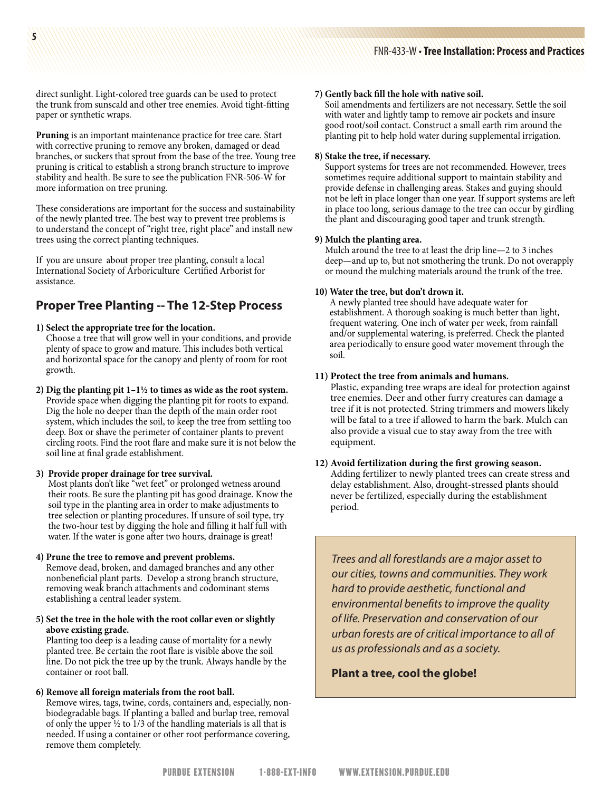direct sunlight. Light-colored tree guards can be used to protect the trunk from sunscald and other tree enemies. Avoid tight-fitting paper or synthetic wraps.

**Pruning** is an important maintenance practice for tree care. Start with corrective pruning to remove any broken, damaged or dead branches, or suckers that sprout from the base of the tree. Young tree pruning is critical to establish a strong branch structure to improve stability and health. Be sure to see the publication FNR-506-W for more information on tree pruning.

These considerations are important for the success and sustainability of the newly planted tree. The best way to prevent tree problems is to understand the concept of "right tree, right place" and install new trees using the correct planting techniques.

If you are unsure about proper tree planting, consult a local International Society of Arboriculture Certified Arborist for assistance.

## **Proper Tree Planting -- The 12-Step Process**

#### **1) Select the appropriate tree for the location.**

- Choose a tree that will grow well in your conditions, and provide plenty of space to grow and mature. This includes both vertical and horizontal space for the canopy and plenty of room for root growth.
- **2) Dig the planting pit 1–1½ to times as wide as the root system.** Provide space when digging the planting pit for roots to expand. Dig the hole no deeper than the depth of the main order root system, which includes the soil, to keep the tree from settling too deep. Box or shave the perimeter of container plants to prevent circling roots. Find the root flare and make sure it is not below the soil line at final grade establishment.

#### **3) Provide proper drainage for tree survival.**

Most plants don't like "wet feet" or prolonged wetness around their roots. Be sure the planting pit has good drainage. Know the soil type in the planting area in order to make adjustments to tree selection or planting procedures. If unsure of soil type, try the two-hour test by digging the hole and filling it half full with water. If the water is gone after two hours, drainage is great!

#### **4) Prune the tree to remove and prevent problems.**

Remove dead, broken, and damaged branches and any other nonbeneficial plant parts. Develop a strong branch structure, removing weak branch attachments and codominant stems establishing a central leader system.

#### **5) Set the tree in the hole with the root collar even or slightly above existing grade.**

Planting too deep is a leading cause of mortality for a newly planted tree. Be certain the root flare is visible above the soil line. Do not pick the tree up by the trunk. Always handle by the container or root ball.

#### **6) Remove all foreign materials from the root ball.**

Remove wires, tags, twine, cords, containers and, especially, nonbiodegradable bags. If planting a balled and burlap tree, removal of only the upper  $\frac{1}{2}$  to 1/3 of the handling materials is all that is needed. If using a container or other root performance covering, remove them completely.

#### **7) Gently back fill the hole with native soil.**

Soil amendments and fertilizers are not necessary. Settle the soil with water and lightly tamp to remove air pockets and insure good root/soil contact. Construct a small earth rim around the planting pit to help hold water during supplemental irrigation.

#### **8) Stake the tree, if necessary.**

Support systems for trees are not recommended. However, trees sometimes require additional support to maintain stability and provide defense in challenging areas. Stakes and guying should not be left in place longer than one year. If support systems are left in place too long, serious damage to the tree can occur by girdling the plant and discouraging good taper and trunk strength.

#### **9) Mulch the planting area.**

Mulch around the tree to at least the drip line—2 to 3 inches deep—and up to, but not smothering the trunk. Do not overapply or mound the mulching materials around the trunk of the tree.

#### **10) Water the tree, but don't drown it.**

A newly planted tree should have adequate water for establishment. A thorough soaking is much better than light, frequent watering. One inch of water per week, from rainfall and/or supplemental watering, is preferred. Check the planted area periodically to ensure good water movement through the soil.

#### **11) Protect the tree from animals and humans.**

Plastic, expanding tree wraps are ideal for protection against tree enemies. Deer and other furry creatures can damage a tree if it is not protected. String trimmers and mowers likely will be fatal to a tree if allowed to harm the bark. Mulch can also provide a visual cue to stay away from the tree with equipment.

#### **12) Avoid fertilization during the first growing season.** Adding fertilizer to newly planted trees can create stress and delay establishment. Also, drought-stressed plants should never be fertilized, especially during the establishment period.

*Trees and all forestlands are a major asset to our cities, towns and communities. They work hard to provide aesthetic, functional and environmental benefits to improve the quality of life. Preservation and conservation of our urban forests are of critical importance to all of us as professionals and as a society.*

#### **Plant a tree, cool the globe!**